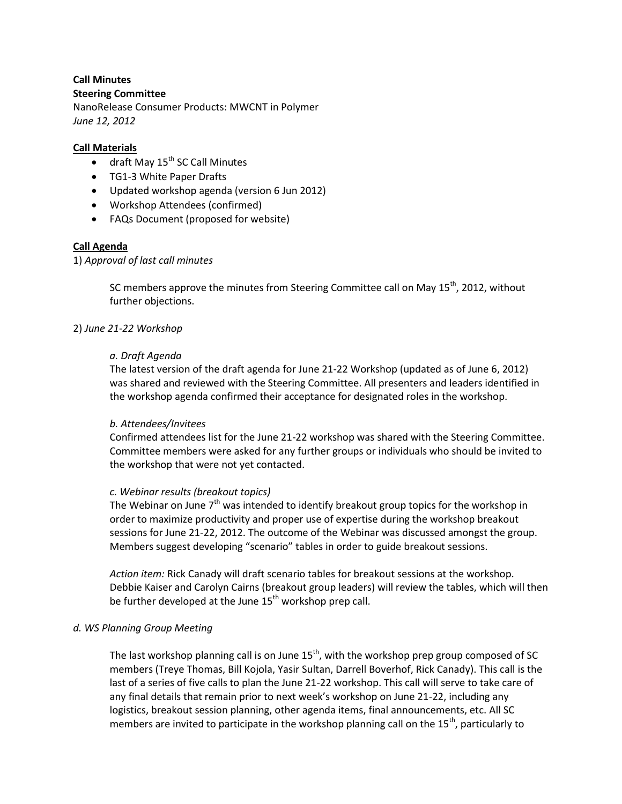#### **Call Minutes Steering Committee**

NanoRelease Consumer Products: MWCNT in Polymer *June 12, 2012*

## **Call Materials**

- $\bullet$  draft May  $15^{th}$  SC Call Minutes
- TG1-3 White Paper Drafts
- Updated workshop agenda (version 6 Jun 2012)
- Workshop Attendees (confirmed)
- FAQs Document (proposed for website)

# **Call Agenda**

## 1) *Approval of last call minutes*

SC members approve the minutes from Steering Committee call on May  $15<sup>th</sup>$ , 2012, without further objections.

## 2) *June 21-22 Workshop*

## *a. Draft Agenda*

The latest version of the draft agenda for June 21-22 Workshop (updated as of June 6, 2012) was shared and reviewed with the Steering Committee. All presenters and leaders identified in the workshop agenda confirmed their acceptance for designated roles in the workshop.

#### *b. Attendees/Invitees*

Confirmed attendees list for the June 21-22 workshop was shared with the Steering Committee. Committee members were asked for any further groups or individuals who should be invited to the workshop that were not yet contacted.

#### *c. Webinar results (breakout topics)*

The Webinar on June  $7<sup>th</sup>$  was intended to identify breakout group topics for the workshop in order to maximize productivity and proper use of expertise during the workshop breakout sessions for June 21-22, 2012. The outcome of the Webinar was discussed amongst the group. Members suggest developing "scenario" tables in order to guide breakout sessions.

*Action item:* Rick Canady will draft scenario tables for breakout sessions at the workshop. Debbie Kaiser and Carolyn Cairns (breakout group leaders) will review the tables, which will then be further developed at the June  $15<sup>th</sup>$  workshop prep call.

# *d. WS Planning Group Meeting*

The last workshop planning call is on June  $15<sup>th</sup>$ , with the workshop prep group composed of SC members (Treye Thomas, Bill Kojola, Yasir Sultan, Darrell Boverhof, Rick Canady). This call is the last of a series of five calls to plan the June 21-22 workshop. This call will serve to take care of any final details that remain prior to next week's workshop on June 21-22, including any logistics, breakout session planning, other agenda items, final announcements, etc. All SC members are invited to participate in the workshop planning call on the  $15<sup>th</sup>$ , particularly to